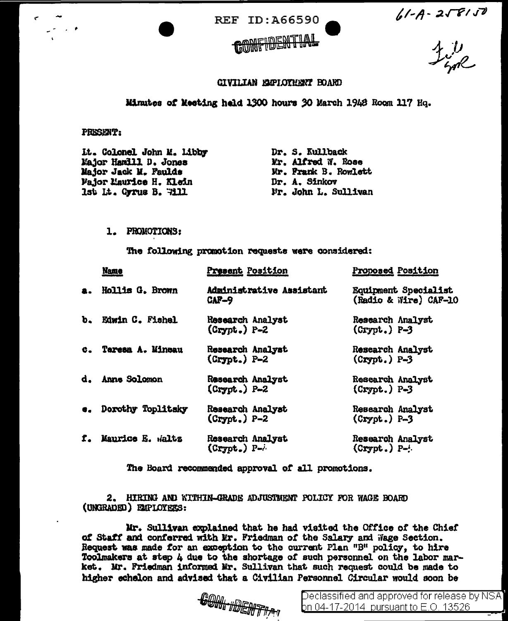



 $61 - A - 2\sqrt{8}/\sqrt{8}$ <br> $4/\sqrt{8}$ 

## CIVILIAN EMPLOYMENT BOARD

## Minutes of Meeting held 1300 hours 30 March 1948 Room 117 Hq.

## PRESENT:

| It. Colonel John M. Libby     | Dr. S. Kullback      |
|-------------------------------|----------------------|
| Major Hamill D. Jones         | Mr. Alfred W. Rose   |
| Major Jack M. Faulds          | Mr. Frank B. Rowlett |
| <b>Fajor Maurice H. Klein</b> | Dr. A. Sinkov        |
| Ist It. Gyrus B. Will         | Mr. John L. Sullivan |

## 1. PROMOTIONS:

The following promotion requests were considered:

|    | <b>Name</b>        | Present Position                     | Proposed Position                             |
|----|--------------------|--------------------------------------|-----------------------------------------------|
| a. | Hollis G. Brown    | Administrative Assistant<br>$CAF-9$  | Equipment Specialist<br>(Radio & Wire) CAF-10 |
|    | b. Edwin C. Fishel | Research Analyst<br>$(Crypt.)$ P-2   | Research Analyst<br>$(Crypt.)$ P-3            |
| C. | Taresa A. Mineau   | Research Analyst<br>$(Crypt.) P-2$   | Research Analyst<br>$(Crypt.) P-3$            |
|    | d. Anne Solomon    | Research Analyst<br>$(Crypt.)$ P-2   | Research Analyst<br>$(Crypt.)$ P-3            |
| e. | Dorothy Toplitsky  | Research Analyst<br>$(Crypt.) P-2$   | Research Analyst<br>$(Crypt.) P=3$            |
| f. | Maurice E. Waltz   | Research Analyst<br>$(Crypt.)$ $P-i$ | Research Analyst<br>$(Crypt.)$ $P-1$          |

The Board recommended approval of all promotions.

2. HIRING AND WITHIN-GRADE ADJUSTMENT POLICY FOR WAGE BOARD (UNGRADED) EXPLOYEES:

Mr. Sullivan explained that he had visited the Office of the Chief of Staff and conferred with Mr. Friedman of the Salary and Wage Section. Request was made for an exception to the current Plan "B" policy, to hire Toolmakers at step 4 due to the shortage of such personnel on the labor market. Mr. Friedman informed Mr. Sullivan that such request could be made to higher echelon and advised that a Civilian Personnel Circular would soon be